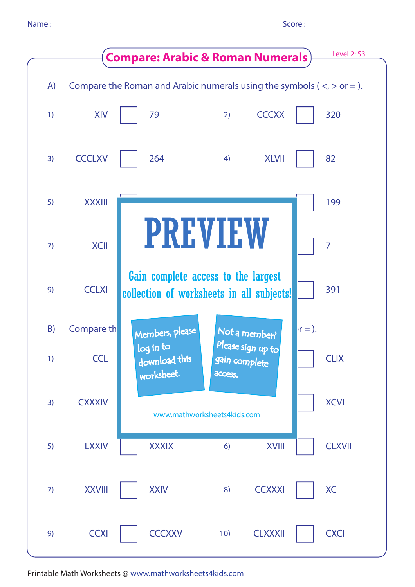